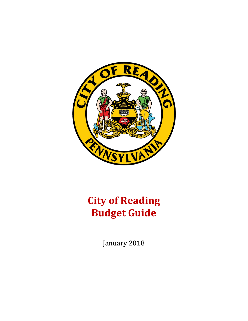

# **City of Reading Budget Guide**

January 2018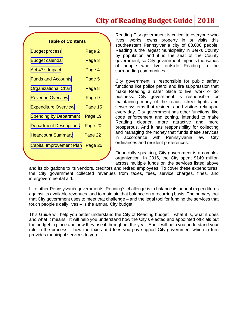## **City of Reading Budget Guide 2018**

#### **Table of Contents**

| <b>Budget process</b>           | Page 2  |
|---------------------------------|---------|
| <b>Budget calendar</b>          | Page 3  |
| Act 47's Impact                 | Page 4  |
| <b>Funds and Accounts</b>       | Page 5  |
| <b>Organizational Chart</b>     | Page 8  |
| <b>Revenue Overview</b>         | Page 9  |
| <b>Expenditure Overview</b>     | Page 15 |
| <b>Spending by Department</b>   | Page 19 |
| <b>Department Descriptions</b>  | Page 20 |
| <b>Headcount Summary</b>        | Page 22 |
| <b>Capital Improvement Plan</b> | Page 25 |

Reading City government is critical to everyone who lives, works, owns property in or visits this southeastern Pennsylvania city of 88,000 people. Reading is the largest municipality in Berks County by population and it is the seat of the County government, so City government impacts thousands of people who live outside Reading in the surrounding communities.

City government is responsible for public safety functions like police patrol and fire suppression that make Reading a safer place to live, work or do business. City government is responsible for maintaining many of the roads, street lights and sewer systems that residents and visitors rely upon every day. City government has other functions, like code enforcement and zoning, intended to make Reading cleaner, more attractive and more prosperous. And it has responsibility for collecting and managing the money that funds these services in accordance with Pennsylvania law, City ordinances and resident preferences.

Financially speaking, City government is a complex organization. In 2016, the City spent \$149 million across multiple funds on the services listed above

and its obligations to its vendors, creditors and retired employees. To cover these expenditures, the City government collected revenues from taxes, fees, service charges, fines, and intergovernmental aid.

Like other Pennsylvania governments, Reading's challenge is to balance its annual expenditures against its available revenues, and to maintain that balance on a recurring basis. The primary tool that City government uses to meet that challenge – and the legal tool for funding the services that touch people's daily lives – is the annual City budget.

This Guide will help you better understand the City of Reading budget – what it is, what it does and what it means. It will help you understand how the City's elected and appointed officials put the budget in place and how they use it throughout the year. And it will help you understand your role in the process – how the taxes and fees you pay support City government which in turn provides municipal services to you.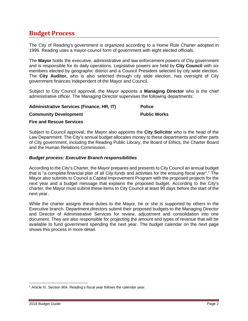## <span id="page-2-0"></span>**Budget Process**

The City of Reading's government is organized according to a Home Rule Charter adopted in 1996. Reading uses a mayor-council form of government with eight elected officials.

The **Mayor** holds the executive, administrative and law enforcement powers of City government and is responsible for its daily operations. Legislative powers are held by **City Council** with six members elected by geographic district and a Council President selected by city wide election. The **City Auditor,** who is also selected through city wide election, has oversight of City government finances independent of the Mayor and Council.

Subject to City Council approval, the Mayor appoints a **Managing Director** who is the chief administrative officer. The Managing Director supervises the following departments:

#### **Administrative Services (Finance, HR, IT)**

**Community Development**

**Police** 

#### **Public Works**

#### **Fire and Rescue Services**

Subject to Council approval, the Mayor also appoints the **City Solicitor** who is the head of the Law Department. The City's annual budget allocates money to these departments and other parts of City government, including the Reading Public Library, the Board of Ethics, the Charter Board and the Human Relations Commission.

#### *Budget process: Executive Branch responsibilities*

According to the City's Charter, the Mayor prepares and presents to City Council an annual budget that is "a complete financial plan of all City funds and activities for the ensuing fiscal year<sup>[1](#page-2-1)</sup>." The Mayor also submits to Council a Capital Improvement Program with the proposed projects for the next year and a budget message that explains the proposed budget. According to the City's charter, the Mayor must submit these items to City Council at least 90 days before the start of the next year.

While the charter assigns these duties to the Mayor, he or she is supported by others in the Executive branch. Department directors submit their proposed budgets to the Managing Director and Director of Administrative Services for review, adjustment and consolidation into one document. They are also responsible for projecting the amount and types of revenue that will be available to fund government spending the next year. The budget calendar on the next page shows this process in more detail.

<span id="page-2-1"></span>l <sup>1</sup> Article IV, Section 904. Reading's fiscal year follows the calendar year.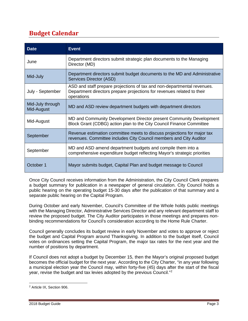## <span id="page-3-0"></span>**Budget Calendar**

| <b>Date</b>                    | <b>Event</b>                                                                                                                                                    |
|--------------------------------|-----------------------------------------------------------------------------------------------------------------------------------------------------------------|
| June                           | Department directors submit strategic plan documents to the Managing<br>Director (MD)                                                                           |
| Mid-July                       | Department directors submit budget documents to the MD and Administrative<br>Services Director (ASD)                                                            |
| July - September               | ASD and staff prepare projections of tax and non-departmental revenues.<br>Department directors prepare projections for revenues related to their<br>operations |
| Mid-July through<br>Mid-August | MD and ASD review department budgets with department directors                                                                                                  |
| Mid-August                     | MD and Community Development Director present Community Development<br>Block Grant (CDBG) action plan to the City Council Finance Committee                     |
| September                      | Revenue estimation committee meets to discuss projections for major tax<br>revenues. Committee includes City Council members and City Auditor                   |
| September                      | MD and ASD amend department budgets and compile them into a<br>comprehensive expenditure budget reflecting Mayor's strategic priorities                         |
| October 1                      | Mayor submits budget, Capital Plan and budget message to Council                                                                                                |

Once City Council receives information from the Administration, the City Council Clerk prepares a budget summary for publication in a newspaper of general circulation. City Council holds a public hearing on the operating budget 15-30 days after the publication of that summary and a separate public hearing on the Capital Program.

During October and early November, Council's Committee of the Whole holds public meetings with the Managing Director, Administrative Services Director and any relevant department staff to review the proposed budget. The City Auditor participates in those meetings and prepares nonbinding recommendations for Council's consideration according to the Home Rule Charter.

Council generally concludes its budget review in early November and votes to approve or reject the budget and Capital Program around Thanksgiving. In addition to the budget itself, Council votes on ordinances setting the Capital Program, the major tax rates for the next year and the number of positions by department.

If Council does not adopt a budget by December 15, then the Mayor's original proposed budget becomes the official budget for the next year. According to the City Charter, "in any year following a municipal election year the Council may, within forty-five (45) days after the start of the fiscal year, revise the budget and tax levies adopted by the previous Council."[2](#page-3-1)

<span id="page-3-1"></span>l <sup>2</sup> Article IX, Section 906.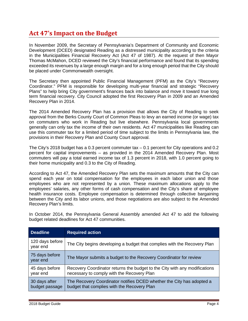## <span id="page-4-0"></span>**Act 47's Impact on the Budget**

In November 2009, the Secretary of Pennsylvania's Department of Community and Economic Development (DCED) designated Reading as a distressed municipality according to the criteria in the Municipalities Financial Recovery Act (Act 47 of 1987). At the request of then Mayor Thomas McMahon, DCED reviewed the City's financial performance and found that its spending exceeded its revenues by a large enough margin and for a long enough period that the City should be placed under Commonwealth oversight.

The Secretary then appointed Public Financial Management (PFM) as the City's "Recovery Coordinator." PFM is responsible for developing multi-year financial and strategic "Recovery Plans" to help bring City government's finances back into balance and move it toward true long term financial recovery. City Council adopted the first Recovery Plan in 2009 and an Amended Recovery Plan in 2014.

The 2014 Amended Recovery Plan has a provision that allows the City of Reading to seek approval from the Berks County Court of Common Pleas to levy an earned income (or wage) tax on commuters who work in Reading but live elsewhere. Pennsylvania local governments generally can only tax the income of their own residents. Act 47 municipalities like Reading can use this commuter tax for a limited period of time subject to the limits in Pennsylvania law, the provisions in their Recovery Plan and County Court approval.

The City's 2018 budget has a 0.3 percent commuter tax – 0.1 percent for City operations and 0.2 percent for capital improvements – as provided in the 2014 Amended Recovery Plan. Most commuters will pay a total earned income tax of 1.3 percent in 2018, with 1.0 percent going to their home municipality and 0.3 to the City of Reading.

According to Act 47, the Amended Recovery Plan sets the maximum amounts that the City can spend each year on total compensation for the employees in each labor union and those employees who are not represented by a union. These maximum allocations apply to the employees' salaries, any other forms of cash compensation and the City's share of employee health insurance costs. Employee compensation is determined through collective bargaining between the City and its labor unions, and those negotiations are also subject to the Amended Recovery Plan's limits.

In October 2014, the Pennsylvania General Assembly amended Act 47 to add the following budget related deadlines for Act 47 communities.

| <b>Deadline</b>                 | <b>Required action</b>                                                                                                   |
|---------------------------------|--------------------------------------------------------------------------------------------------------------------------|
| 120 days before<br>year end     | The City begins developing a budget that complies with the Recovery Plan                                                 |
| 75 days before<br>year end      | The Mayor submits a budget to the Recovery Coordinator for review                                                        |
| 45 days before<br>year end      | Recovery Coordinator returns the budget to the City with any modifications<br>necessary to comply with the Recovery Plan |
| 30 days after<br>budget passage | The Recovery Coordinator notifies DCED whether the City has adopted a<br>budget that complies with the Recovery Plan     |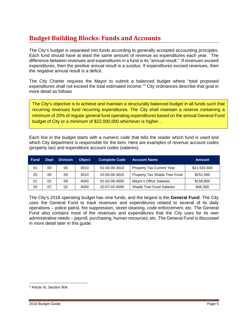## <span id="page-5-0"></span>**Budget Building Blocks: Funds and Accounts**

The City's budget is separated into funds according to generally accepted accounting principles. Each fund should have at least the same amount of revenue as expenditures each year. The difference between revenues and expenditures in a fund is its "annual result." If revenues exceed expenditures, then the positive annual result is a surplus. If expenditures exceed revenues, then the negative annual result is a deficit.

The City Charter requires the Mayor to submit a balanced budget where "total proposed expenditures shall not exceed the total estimated income."[3](#page-5-1) City ordinances describe that goal in more detail as follows

The City's objective is to achieve and maintain a structurally balanced budget in all funds such that recurring revenues fund recurring expenditures. The City shall maintain a reserve containing a minimum of 20% of regular general fund operating expenditures based on the annual General Fund budget of City or a minimum of \$22,000,000 whichever is higher…

Each line in the budget starts with a numeric code that tells the reader which fund is used and which City department is responsible for the item. Here are examples of revenue account codes (property tax) and expenditure account codes (salaries).

| <b>Fund</b>    | <b>Dept</b> | <b>Division</b> | <b>Object</b> | <b>Complete Code</b> | <b>Account Name</b>              | <b>Amount</b> |
|----------------|-------------|-----------------|---------------|----------------------|----------------------------------|---------------|
| 0 <sub>1</sub> | 00          | 00              | 3010          | 01-00-00-3010        | <b>Property Tax Current Year</b> | \$21,533,400  |
| 20             | 00          | 00              | 3010          | 20-00-00-3010        | Property Tax Shade Tree Fund     | \$251,560     |
| 01             | 02          | 09              | 4000          | 01-02-09-4000        | Mayor's Office Salaries          | \$158,800     |
| 20             | 07          | 02              | 4000          | 20-07-02-4000        | <b>Shade Tree Fund Salaries</b>  | \$46,300      |

The City's 2018 operating budget has nine funds, and the largest is the **General Fund**. The City uses the General Fund to track revenues and expenditures related to several of its daily operations – police patrol, fire suppression, street cleaning, code enforcement, etc. The General Fund also contains most of the revenues and expenditures that the City uses for its own administrative needs – payroll, purchasing, human resources, etc. The General Fund is discussed in more detail later in this guide.

<span id="page-5-1"></span>l <sup>3</sup> Article IX, Section 904.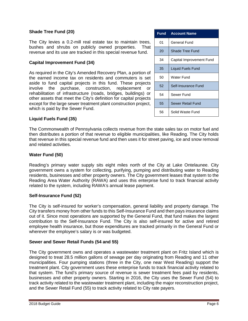### **Shade Tree Fund (20)**

The City levies a 0.2-mill real estate tax to maintain trees, bushes and shrubs on publicly owned properties. That revenue and its use are tracked in this special revenue fund.

#### **Capital Improvement Fund (34)**

As required in the City's Amended Recovery Plan, a portion of the earned income tax on residents and commuters is set aside to fund capital projects in this fund. These projects involve the purchase, construction, replacement or rehabilitation of infrastructure (roads, bridges, buildings) or other assets that meet the City's definition for capital projects except for the large sewer treatment plant construction project, which is paid by the Sewer Fund.

| <b>Fund</b> | <b>Account Name</b>      |
|-------------|--------------------------|
| 01          | General Fund             |
| 20          | Shade Tree Fund          |
| 34          | Capital Improvement Fund |
| 35          | Liquid Fuels Fund        |
| 50          | Water Fund               |
| 52          | Self-Insurance Fund      |
| 54          | Sewer Fund               |
| 55          | Sewer Retail Fund        |
| 56          | Solid Waste Fund         |

### **Liquid Fuels Fund (35)**

The Commonwealth of Pennsylvania collects revenue from the state sales tax on motor fuel and then distributes a portion of that revenue to eligible municipalities, like Reading. The City holds that revenue in this special revenue fund and then uses it for street paving, ice and snow removal and related activities.

#### **Water Fund (50)**

Reading's primary water supply sits eight miles north of the City at Lake Ontelaunee. City government owns a system for collecting, purifying, pumping and distributing water to Reading residents, businesses and other property owners. The City government leases that system to the Reading Area Water Authority (RAWA) and uses this enterprise fund to track financial activity related to the system, including RAWA's annual lease payment.

#### **Self-Insurance Fund (52)**

The City is self-insured for worker's compensation, general liability and property damage. The City transfers money from other funds to this Self-Insurance Fund and then pays insurance claims out of it. Since most operations are supported by the General Fund, that fund makes the largest contribution to the Self-Insurance Fund. The City is also self-insured for active and retired employee health insurance, but those expenditures are tracked primarily in the General Fund or wherever the employee's salary is or was budgeted.

#### **Sewer and Sewer Retail Funds (54 and 55)**

The City government owns and operates a wastewater treatment plant on Fritz Island which is designed to treat 28.5 million gallons of sewage per day originating from Reading and 11 other municipalities. Four pumping stations (three in the City, one near West Reading) support the treatment plant. City government uses these enterprise funds to track financial activity related to that system. The fund's primary source of revenue is sewer treatment fees paid by residents, businesses and other property owners. Starting in 2016, the City uses the Sewer Fund (54) to track activity related to the wastewater treatment plant, including the major reconstruction project, and the Sewer Retail Fund (55) to track activity related to City rate payers.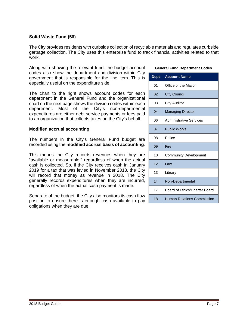### **Solid Waste Fund (56)**

The City provides residents with curbside collection of recyclable materials and regulates curbside garbage collection. The City uses this enterprise fund to track financial activities related to that work.

Along with showing the relevant fund, the budget account codes also show the department and division within City government that is responsible for the line item. This is especially useful on the expenditure side.

The chart to the right shows account codes for each department in the General Fund and the organizational chart on the next page shows the division codes within each department. Most of the City's non-departmental expenditures are either debt service payments or fees paid to an organization that collects taxes on the City's behalf.

#### **Modified accrual accounting**

The numbers in the City's General Fund budget are recorded using the **modified accrual basis of accounting**.

This means the City records revenues when they are "available or measurable," regardless of when the actual cash is collected. So, if the City receives cash in January 2019 for a tax that was levied in November 2018, the City will record that money as revenue in 2018. The City generally records expenditures when they are incurred, regardless of when the actual cash payment is made.

Separate of the budget, the City also monitors its cash flow position to ensure there is enough cash available to pay obligations when they are due.

#### **General Fund Department Codes**

| <b>Dept</b> | <b>Account Name</b>               |
|-------------|-----------------------------------|
| 01          | Office of the Mayor               |
| 02          | <b>City Council</b>               |
| 03          | City Auditor                      |
| 04          | <b>Managing Director</b>          |
| 06          | <b>Administrative Services</b>    |
| 07          | <b>Public Works</b>               |
| 08          | Police                            |
| 09          | Fire                              |
| 10          | <b>Community Development</b>      |
| 12          | Law                               |
| 13          | Library                           |
| 14          | Non-Departmental                  |
| 17          | Board of Ethics/Charter Board     |
| 18          | <b>Human Relations Commission</b> |

.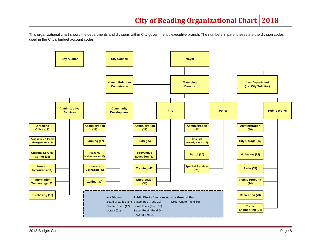This organizational chart shows the departments and divisions within City government's executive branch. The numbers in parentheses are the division codes used in the City's budget account codes.

<span id="page-8-0"></span>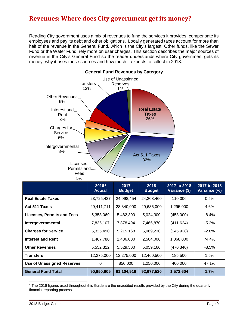## <span id="page-9-0"></span>**Revenues: Where does City government get its money?**

Reading City government uses a mix of revenues to fund the services it provides, compensate its employees and pay its debt and other obligations. Locally generated taxes account for more than half of the revenue in the General Fund, which is the City's largest. Other funds, like the Sewer Fund or the Water Fund, rely more on user charges. This section describes the major sources of revenue in the City's General Fund so the reader understands where City government gets its money, why it uses those sources and how much it expects to collect in 2018.



|                                   | 2016 <sup>4</sup><br><b>Actual</b> | 2017<br><b>Budget</b> | 2018<br><b>Budget</b> | 2017 to 2018<br>Variance (\$) | 2017 to 2018<br>Variance (%) |
|-----------------------------------|------------------------------------|-----------------------|-----------------------|-------------------------------|------------------------------|
| <b>Real Estate Taxes</b>          | 23,725,437                         | 24,098,454            | 24,208,460            | 110,006                       | 0.5%                         |
| <b>Act 511 Taxes</b>              | 29,411,711                         | 28,340,000            | 29,635,000            | 1,295,000                     | 4.6%                         |
| <b>Licenses, Permits and Fees</b> | 5,358,069                          | 5,482,300             | 5,024,300             | (458,000)                     | $-8.4%$                      |
| Intergovernmental                 | 7,835,107                          | 7,878,494             | 7,466,870             | (411, 624)                    | $-5.2%$                      |
| <b>Charges for Service</b>        | 5,325,490                          | 5,215,168             | 5,069,230             | (145, 938)                    | $-2.8%$                      |
| <b>Interest and Rent</b>          | 1,467,780                          | 1,436,000             | 2,504,000             | 1,068,000                     | 74.4%                        |
| <b>Other Revenues</b>             | 5,552,312                          | 5,529,500             | 5,059,160             | (470, 340)                    | $-8.5%$                      |
| Transfers                         | 12,275,000                         | 12,275,000            | 12,460,500            | 185,500                       | 1.5%                         |
| <b>Use of Unassigned Reserves</b> | 0                                  | 850,000               | 1,250,000             | 400,000                       | 47.1%                        |
| <b>General Fund Total</b>         | 90,950,905                         | 91,104,916            | 92,677,520            | 1,572,604                     | 1.7%                         |

<span id="page-9-1"></span><sup>4</sup> The 2016 figures used throughout this Guide are the unaudited results provided by the City during the quarterly financial reporting process.

 $\overline{\phantom{a}}$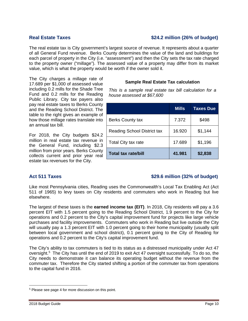### **Real Estate Taxes \$24.2 million (26% of budget)**

The real estate tax is City government's largest source of revenue. It represents about a quarter of all General Fund revenue. Berks County determines the value of the land and buildings for each parcel of property in the City (i.e. "assessment") and then the City sets the tax rate charged to the property owner ("millage"). The assessed value of a property may differ from its market value, which is what the property would be worth if the owner sold it.

The City charges a millage rate of 17.689 per \$1,000 of assessed value including 0.2 mills for the Shade Tree Fund and 0.2 mills for the Reading Public Library. City tax payers also pay real estate taxes to Berks County and the Reading School District. The table to the right gives an example of how those millage rates translate into an annual tax bill.

For 2018, the City budgets \$24.2 million in real estate tax revenue in the General Fund, including \$2.3 million from prior years. Berks County collects current and prior year real estate tax revenues for the City.

### **Sample Real Estate Tax calculation**

*This is a sample real estate tax bill calculation for a house assessed at \$67,600*

|                                    | <b>Mills</b> | <b>Taxes Due</b> |
|------------------------------------|--------------|------------------|
| <b>Berks County tax</b>            | 7.372        | \$498            |
| <b>Reading School District tax</b> | 16.920       | \$1,144          |
| Total City tax rate                | 17.689       | \$1,196          |
| Total tax rate/bill                | 41.981       | \$2,838          |

### **Act 511 Taxes \$29.6 million (32% of budget)**

Like most Pennsylvania cities, Reading uses the Commonwealth's Local Tax Enabling Act (Act 511 of 1965) to levy taxes on City residents and commuters who work in Reading but live elsewhere.

The largest of these taxes is the **earned income tax (EIT)**. In 2018, City residents will pay a 3.6 percent EIT with 1.5 percent going to the Reading School District, 1.9 percent to the City for operations and 0.2 percent to the City's capital improvement fund for projects like large vehicle purchases and facility improvements. Commuters who work in Reading but live outside the City will usually pay a 1.3 percent EIT with 1.0 percent going to their home municipality (usually split between local government and school district), 0.1 percent going to the City of Reading for operations and 0.2 percent to the City's capital improvement fund.

The City's ability to tax commuters is tied to its status as a distressed municipality under Act 47 oversight.<sup>[5](#page-10-0)</sup> The City has until the end of 2019 to exit Act 47 oversight successfully. To do so, the City needs to demonstrate it can balance its operating budget without the revenue from the commuter tax. Therefore the City started shifting a portion of the commuter tax from operations to the capital fund in 2016.

<span id="page-10-0"></span>l <sup>5</sup> Please see page 4 for more discussion on this point.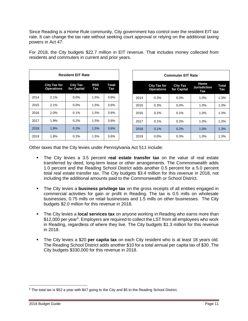Since Reading is a Home Rule community, City government has control over the resident EIT tax rate. It can change the tax rate without seeking court approval or relying on the additional taxing powers in Act 47.

| <b>Resident EIT Rate</b> |                                   |                                |                   |                     |  |
|--------------------------|-----------------------------------|--------------------------------|-------------------|---------------------|--|
|                          | City Tax for<br><b>Operations</b> | <b>City Tax</b><br>for Capital | <b>RSD</b><br>Tax | <b>Total</b><br>Tax |  |
| 2014                     | 2.1%                              | 0.0%                           | 1.5%              | 3.6%                |  |
| 2015                     | 2.1%                              | $0.0\%$                        | 1.5%              | 3.6%                |  |
| 2016                     | 2.0%                              | 0.1%                           | 1.5%              | 3.6%                |  |
| 2017                     | 1.9%                              | 0.2%                           | 1.5%              | 3.6%                |  |
| 2018                     | 1.9%                              | 0.2%                           | 1.5%              | 3.6%                |  |
| 2019                     | 1.8%                              | 0.3%                           | 1.5%              | 3.6%                |  |

| For 2018, the City budgets \$22.7 million in EIT revenue. That includes money collected from |  |
|----------------------------------------------------------------------------------------------|--|
| residents and commuters in current and prior years.                                          |  |
|                                                                                              |  |

| <b>Commuter EIT Rate</b> |                                                                                                                         |         |      |      |  |
|--------------------------|-------------------------------------------------------------------------------------------------------------------------|---------|------|------|--|
|                          | Home<br><b>City Tax for</b><br><b>City Tax</b><br><b>Jurisdiction</b><br>for Capital<br><b>Operations</b><br><b>Tax</b> |         |      |      |  |
| 2014                     | 0.3%                                                                                                                    | 0.0%    | 1.0% | 1.3% |  |
| 2015                     | 0.3%                                                                                                                    | $0.0\%$ | 1.0% | 1.3% |  |
| 2016                     | 0.2%                                                                                                                    | 0.1%    | 1.0% | 1.3% |  |
| 2017                     | 0.1%                                                                                                                    | 0.2%    | 1.0% | 1.3% |  |
| 2018                     | 0.1%                                                                                                                    | 0.2%    | 1.0% | 1.3% |  |
| 2019                     | 0.0%                                                                                                                    | 0.3%    | 1.0% | 1.3% |  |

Other taxes that the City levies under Pennsylvania Act 511 include:

- The City levies a 3.5 percent **real estate transfer tax** on the value of real estate transferred by deed, long-term lease or other arrangements. The Commonwealth adds 1.0 percent and the Reading School District adds another 0.5 percent for a 5.0 percent total real estate transfer tax. The City budgets \$3.4 million for this revenue in 2018, not including the additional amounts paid to the Commonwealth or School District.
- The City levies a **business privilege tax** on the gross receipts of all entities engaged in commercial activities for gain or profit in Reading. The tax is 0.5 mills on wholesale businesses, 0.75 mills on retail businesses and 1.5 mills on other businesses. The City budgets \$2.0 million for this revenue in 2018.
- The City levies a **local services tax** on anyone working in Reading who earns more than \$12,000 per year<sup>[6](#page-11-0)</sup>. Employers are required to collect the LST from all employees who work in Reading, regardless of where they live. The City budgets \$1.3 million for this revenue in 2018.
- The City levies a \$20 **per capita tax** on each City resident who is at least 18 years old. The Reading School District adds another \$10 for a total annual per capita tax of \$30. The City budgets \$330,000 for this revenue in 2018.

<span id="page-11-0"></span>l <sup>6</sup> The total tax is \$52 a year with \$47 going to the City and \$5 to the Reading School District.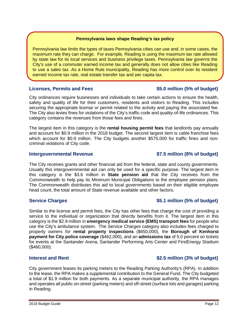#### **Pennsylvania laws shape Reading's tax policy**

Pennsylvania law limits the types of taxes Pennsylvania cities can use and, in some cases, the maximum rate they can charge. For example, Reading is using the maximum tax rate allowed by state law for its local services and business privilege taxes. Pennsylvania law governs the City's use of a commuter earned income tax and generally does not allow cities like Reading to use a sales tax. As a Home Rule municipality, Reading has more control over its resident earned income tax rate, real estate transfer tax and per capita tax.

### **Licenses, Permits and Fees \$5.0 million (5% of budget)**

City ordinances require businesses and individuals to take certain actions to ensure the health, safety and quality of life for their customers, residents and visitors to Reading. This includes securing the appropriate license or permit related to the activity and paying the associated fee. The City also levies fines for violations of the City's traffic code and quality-of-life ordinances. This category contains the revenues from those fees and fines.

The largest item in this category is the **rental housing permit fees** that landlords pay annually and account for \$0.9 million in the 2018 budget. The second largest item is cable franchise fees which account for \$0.9 million. The City budgets another \$575,000 for traffic fines and noncriminal violations of City code.

### **Intergovernmental Revenue \$7.5 million (8% of budget)**

The City receives grants and other financial aid from the federal, state and county governments. Usually this intergovernmental aid can only be used for a specific purpose. The largest item in this category is the \$3.6 million in **State pension aid** that the City receives from the Commonwealth to help pay its Minimum Municipal Obligations to the employee pension plans. The Commonwealth distributes this aid to local governments based on their eligible employee head count, the total amount of State revenue available and other factors.

### **Service Charges \$5.1 million (5% of budget)**

Similar to the license and permit fees, the City has other fees that charge the cost of providing a service to the individual or organization that directly benefits from it. The largest item in this category is the \$2.9 million in **emergency medical service (EMS) transport fees** for people who use the City's ambulance system. The Service Charges category also includes fees charged to property owners for **rental property inspections** (\$650,000), the **Borough of Kenhorst payment for City police coverage** (\$462,000), and an **admissions tax** of 5.0 percent on tickets for events at the Santander Arena, Santander Performing Arts Center and FirstEnergy Stadium (\$460,000).

City government leases its parking meters to the Reading Parking Authority's (RPA). In addition to the lease, the RPA makes a supplemental contribution to the General Fund. The City budgeted a total of \$1.9 million for both payments. As a separate municipal authority, the RPA manages and operates all public on-street (parking meters) and off-street (surface lots and garages) parking in Reading.

### **Interest and Rent \$2.5 million (3% of budget)**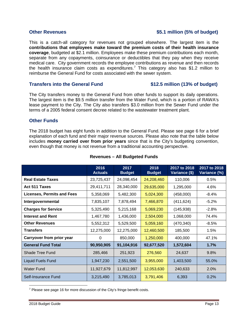### **Other Revenues 6.1 million (5% of budget)**

This is a catch-all category for revenues not grouped elsewhere. The largest item is the **contributions that employees make toward the premium costs of their health insurance coverage**, budgeted at \$2.1 million. Employees make these premium contributions each month, separate from any copayments, coinsurance or deductibles that they pay when they receive medical care. City government records the employee contributions as revenue and then records the health insurance claim costs as expenditures. [7](#page-13-0) This category also has \$1.2 million to reimburse the General Fund for costs associated with the sewer system.

#### **Transfers into the General Fund \$12.5 million (13% of budget)**

The City transfers money to the General Fund from other funds to support its daily operations. The largest item is the \$9.5 million transfer from the Water Fund, which is a portion of RAWA's lease payment to the City. The City also transfers \$3.0 million from the Sewer Fund under the terms of a 2005 federal consent decree related to the wastewater treatment plant.

#### **Other Funds**

The 2018 budget has eight funds in addition to the General Fund. Please see page 6 for a brief explanation of each fund and their major revenue sources. Please also note that the table below includes **money carried over from prior years** since that is the City's budgeting convention, even though that money is not revenue from a traditional accounting perspective.

|                                   | 2016<br><b>Actuals</b> | 2017<br><b>Budget</b> | 2018<br><b>Budget</b> | 2017 to 2018<br>Variance (\$) | 2017 to 2018<br>Variance (%) |
|-----------------------------------|------------------------|-----------------------|-----------------------|-------------------------------|------------------------------|
| <b>Real Estate Taxes</b>          | 23,725,437             | 24,098,454            | 24,208,460            | 110,006                       | 0.5%                         |
| Act 511 Taxes                     | 29,411,711             | 28,340,000            | 29,635,000            | 1,295,000                     | 4.6%                         |
| <b>Licenses, Permits and Fees</b> | 5,358,069              | 5,482,300             | 5,024,300             | (458,000)                     | -8.4%                        |
| Intergovernmental                 | 7,835,107              | 7,878,494             | 7,466,870             | (411, 624)                    | $-5.2\%$                     |
| <b>Charges for Service</b>        | 5,325,490              | 5,215,168             | 5,069,230             | (145, 938)                    | $-2.8%$                      |
| <b>Interest and Rent</b>          | 1,467,780              | 1,436,000             | 2,504,000             | 1,068,000                     | 74.4%                        |
| <b>Other Revenues</b>             | 5,552,312              | 5,529,500             | 5,059,160             | (470, 340)                    | $-8.5%$                      |
| <b>Transfers</b>                  | 12,275,000             | 12,275,000            | 12,460,500            | 185,500                       | 1.5%                         |
| Carryover from prior year         | 0                      | 850,000               | 1,250,000             | 400,000                       | 47.1%                        |
| <b>General Fund Total</b>         | 90,950,905             | 91,104,916            | 92,677,520            | 1,572,604                     | 1.7%                         |
| <b>Shade Tree Fund</b>            | 285,466                | 251,923               | 276,560               | 24,637                        | 9.8%                         |
| <b>Liquid Fuels Fund</b>          | 1,947,230              | 2,551,500             | 3,955,000             | 1,403,500                     | 55.0%                        |
| <b>Water Fund</b>                 | 11,927,679             | 11,812,997            | 12,053,630            | 240,633                       | 2.0%                         |
| Self-Insurance Fund               | 3,215,490              | 3,785,013             | 3,791,406             | 6,393                         | 0.2%                         |

#### **Revenues – All Budgeted Funds**

<span id="page-13-0"></span>l <sup>7</sup> Please see page 16 for more discussion of the City's fringe benefit costs.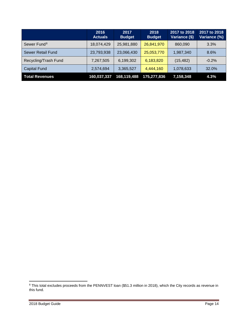|                         | 2016<br><b>Actuals</b> | 2017<br><b>Budget</b> | 2018<br><b>Budget</b> | 2017 to 2018<br>Variance (\$) | 2017 to 2018<br>Variance (%) |
|-------------------------|------------------------|-----------------------|-----------------------|-------------------------------|------------------------------|
| Sewer Fund <sup>8</sup> | 18,074,429             | 25,981,880            | 26,841,970            | 860,090                       | 3.3%                         |
| Sewer Retail Fund       | 23,793,938             | 23,066,430            | 25,053,770            | 1,987,340                     | 8.6%                         |
| Recycling/Trash Fund    | 7,267,505              | 6,199,302             | 6,183,820             | (15, 482)                     | $-0.2\%$                     |
| <b>Capital Fund</b>     | 2,574,694              | 3,365,527             | 4,444,160             | 1,078,633                     | 32.0%                        |
| <b>Total Revenues</b>   | 160,037,337            | 168,119,488           | 175,277,836           | 7,158,348                     | 4.3%                         |

 $\overline{\phantom{a}}$ 

<span id="page-14-0"></span> $^8$  This total excludes proceeds from the PENNVEST loan (\$51.3 million in 2018), which the City records as revenue in this fund.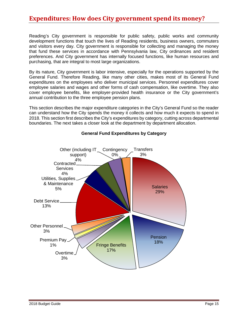## <span id="page-15-0"></span>**Expenditures: How does City government spend its money?**

Reading's City government is responsible for public safety, public works and community development functions that touch the lives of Reading residents, business owners, commuters and visitors every day. City government is responsible for collecting and managing the money that fund these services in accordance with Pennsylvania law, City ordinances and resident preferences. And City government has internally focused functions, like human resources and purchasing, that are integral to most large organizations.

By its nature, City government is labor intensive, especially for the operations supported by the General Fund. Therefore Reading, like many other cities, makes most of its General Fund expenditures on the employees who deliver municipal services. Personnel expenditures cover employee salaries and wages and other forms of cash compensation, like overtime. They also cover employee benefits, like employer-provided health insurance or the City government's annual contribution to the three employee pension plans.

This section describes the major expenditure categories in the City's General Fund so the reader can understand how the City spends the money it collects and how much it expects to spend in 2018. This section first describes the City's expenditures by category, cutting across departmental boundaries. The next takes a closer look at the department by department allocation.



### **General Fund Expenditures by Category**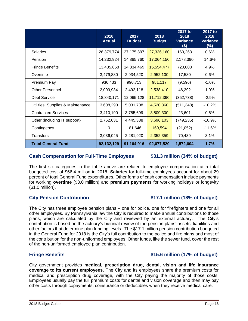| The first six categories in the table above are related to employee compensation at a total<br>budgeted cost of \$66.4 million in 2018. <b>Salaries</b> for full-time employees account for about 29<br>percent of total General Fund expenditures. Other forms of cash compensation include payments<br>for working overtime (\$3.0 million) and premium payments for working holidays or longevity<br>$($1.0 \text{ million})$ .                                                                                                                                                                                                                                                                                                                                              |                                |
|---------------------------------------------------------------------------------------------------------------------------------------------------------------------------------------------------------------------------------------------------------------------------------------------------------------------------------------------------------------------------------------------------------------------------------------------------------------------------------------------------------------------------------------------------------------------------------------------------------------------------------------------------------------------------------------------------------------------------------------------------------------------------------|--------------------------------|
| <b>City Pension Contribution</b>                                                                                                                                                                                                                                                                                                                                                                                                                                                                                                                                                                                                                                                                                                                                                | \$17.1 million (18% of budget) |
| The City has three employee pension plans – one for police, one for firefighters and one for all<br>other employees. By Pennsylvania law the City is required to make annual contributions to those<br>plans, which are calculated by the City and reviewed by an external actuary. The City's<br>contribution is based on the actuary's biennial review of the pension plans' assets, liabilities and<br>other factors that determine plan funding levels. The \$17.1 million pension contribution budgeted<br>in the General Fund for 2018 is the City's full contribution to the police and fire plans and most of<br>the contribution for the non-uniformed employees. Other funds, like the sewer fund, cover the rest<br>of the non-uniformed employee plan contribution. |                                |

City government provides **medical, prescription drug, dental, vision and life insurance coverage to its current employees.** The City and its employees share the premium costs for medical and prescription drug coverage, with the City paying the majority of those costs.

**Total General Fund 92,132,129 91,104,916 92,677,520 1,572,604 1.7%**

## **Cash Compensation for Full-Time Employees \$31.3 million (34% of budget)**

### **Fringe Benefits \$15.6 million (17% of budget)**

| Premium Pay                       | 936,433    | 990,713    | 981,117    | (9,596)    | $-1.0%$  |
|-----------------------------------|------------|------------|------------|------------|----------|
| <b>Other Personnel</b>            | 2,009,934  | 2,492,118  | 2,538,410  | 46,292     | 1.9%     |
| Debt Service                      | 18,840,171 | 12,065,128 | 11,712,390 | (352, 738) | $-2.9%$  |
| Utilities, Supplies & Maintenance | 3,608,290  | 5,031,708  | 4,520,360  | (511, 348) | $-10.2%$ |
| <b>Contracted Services</b>        | 3,410,190  | 3,785,699  | 3,809,300  | 23,601     | 0.6%     |
| Other (including IT support)      | 2,762,631  | 4,445,338  | 3,696,103  | (749, 235) | $-16.9%$ |
| Contingency                       | 0          | 181,646    | 160,594    | (21, 052)  | $-11.6%$ |
| Transfers                         | 3,036,045  | 2,281,920  | 2,352,359  | 70,439     | 3.1%     |

**2016 Actual**

**2017 Budget**

Salaries 26,379,774 27,175,897 27,336,160 160,263 0.6% Pension 14,232,924 | 14,885,760 <mark>| 17,064,150 |</mark> 2,178,390 | 14.6% Fringe Benefits 13,435,858 | 14,834,469 | 15,554,477 | 720,008 | 4.9%

Overtime | 3,479,880 | 2,934,520 <mark>| 2,952,100 |</mark> 17,580 | 0.6%

**2018 Budget**

**2017 to 2018 Variance (\$)**

**2017 to 2018 Variance (%)**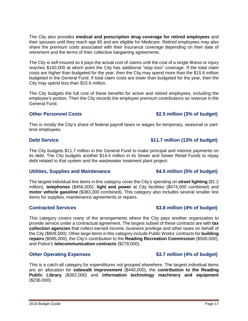The City also provides **medical and prescription drug coverage for retired employees** and their spouses until they reach age 65 and are eligible for Medicare. Retired employees may also share the premium costs associated with their insurance coverage depending on their date of retirement and the terms of their collective bargaining agreements.

The City is self-insured so it pays the actual cost of claims until the cost of a single illness or injury reaches \$150,000 at which point the City has additional "stop loss" coverage. If the total claim costs are higher than budgeted for the year, then the City may spend more than the \$15.6 million budgeted in the General Fund. If total claim costs are lower than budgeted for the year, then the City may spend less than \$15.6 million.

The City budgets the full cost of these benefits for active and retired employees, including the employee's portion. Then the City records the employee premium contributions as revenue in the General Fund.

### **Other Personnel Costs \$2.5 million (3% of budget)**

This is mostly the City's share of federal payroll taxes or wages for temporary, seasonal or parttime employees.

### **Debt Service budget**) **business 11.7 million (13% of budget)**

The City budgets \$11.7 million in the General Fund to make principal and interest payments on its debt. The City budgets another \$14.4 million in its Sewer and Sewer Retail Funds to repay debt related to that system and the wastewater treatment plant project.

### **Utilities, Supplies and Maintenance \$4.5 million (5% of budget)**

The largest individual line items in this category cover the City's spending on **street lighting** (\$1.2 million), **telephones** (\$456,000), **light and power** at City facilities (\$474,000 combined) and **motor vehicle gasoline** (\$383,000 combined). This category also includes several smaller line items for supplies, maintenance agreements or repairs.

### **Contracted Services \$3.8 million (4% of budget)**

This category covers many of the arrangements where the City pays another organization to provide service under a contractual agreement. The largest subset of these contracts are with **tax collection agencies** that collect earned income, business privilege and other taxes on behalf of the City (\$609,000). Other large items in this category include Public Works' contracts for **building repairs** (\$585,000), the City's contribution to the **Reading Recreation Commission** (\$500,000), and Police's **telecommunication contracts** (\$278,000).

### **Other Operating Expenses 63.7 million (4% of budget)**

This is a catch-all category for expenditures not grouped elsewhere. The largest individual items are an allocation for **sidewalk improvement** (\$440,000), the **contribution to the Reading Public Library** (\$362,000) and **information technology machinery and equipment** (\$236,000).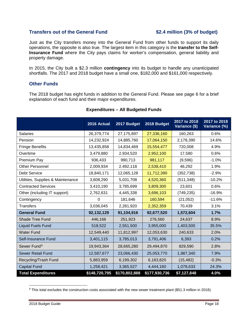### **Transfers out of the General Fund \$2.4 million (3% of budget)**

Just as the City transfers money into the General Fund from other funds to support its daily operations, the opposite is also true. The largest item in this category is the **transfer to the Self-Insurance Fund** where the City pays claims for worker's compensation, general liability and property damage.

In 2015, the City built a \$2.3 million **contingency** into its budget to handle any unanticipated shortfalls. The 2017 and 2018 budget have a small one, \$182,000 and \$161,000 respectively.

#### **Other Funds**

The 2018 budget has eight funds in addition to the General Fund. Please see page 6 for a brief explanation of each fund and their major expenditures.

|                                   | 2016 Actual    | 2017 Budget   | 2018 Budget   | 2017 to 2018<br>Variance (\$) | 2017 to 2018<br>Variance (%) |
|-----------------------------------|----------------|---------------|---------------|-------------------------------|------------------------------|
| <b>Salaries</b>                   | 26,379,774     | 27,175,897    | 27,336,160    | 160,263                       | 0.6%                         |
| Pension                           | 14,232,924     | 14,885,760    | 17,064,150    | 2,178,390                     | 14.6%                        |
| <b>Fringe Benefits</b>            | 13,435,858     | 14,834,469    | 15,554,477    | 720,008                       | 4.9%                         |
| Overtime                          | 3,479,880      | 2,934,520     | 2,952,100     | 17,580                        | 0.6%                         |
| Premium Pay                       | 936,433        | 990,713       | 981,117       | (9,596)                       | $-1.0%$                      |
| Other Personnel                   | 2,009,934      | 2,492,118     | 2,538,410     | 46,292                        | 1.9%                         |
| <b>Debt Service</b>               | 18,840,171     | 12,065,128    | 11,712,390    | (352, 738)                    | $-2.9%$                      |
| Utilities, Supplies & Maintenance | 3,608,290      | 5,031,708     | 4,520,360     | (511, 348)                    | $-10.2%$                     |
| <b>Contracted Services</b>        | 3,410,190      | 3,785,699     | 3,809,300     | 23,601                        | 0.6%                         |
| Other (including IT support)      | 2,762,631      | 4,445,338     | 3,696,103     | (749, 235)                    | $-16.9%$                     |
| Contingency                       | $\overline{0}$ | 181,646       | 160,594       | (21, 052)                     | $-11.6%$                     |
| <b>Transfers</b>                  | 3,036,045      | 2,281,920     | 2,352,359     | 70,439                        | 3.1%                         |
| <b>General Fund</b>               | 92,132,129     | 91,104,916    | 92,677,520    | 1,572,604                     | 1.7%                         |
| Shade Tree Fund                   | 446,166        | 251,923       | 276,560       | 24,637                        | 8.9%                         |
| <b>Liquid Fuels Fund</b>          | 518,522        | 2,551,500     | 3,955,000     | 1,403,500                     | 35.5%                        |
| <b>Water Fund</b>                 | 12,549,440     | 11,812,997    | 12,053,630    | 240,633                       | 2.0%                         |
| Self-Insurance Fund               | 3,401,115      | 3,785,013     | 3,791,406     | 6,393                         | 0.2%                         |
| Sewer Fund <sup>9</sup>           | 19,943,364     | 28,665,280    | 29,494,870    | 829,590                       | 2.8%                         |
| Sewer Retail Fund                 | 12,587,677     | 23,066,430    | 25,053,770    | 1,987,340                     | 7.9%                         |
| Recycling/Trash Fund              | 5,883,959      | 6,199,302     | 6,183,820     | (15, 482)                     | $-0.3%$                      |
| <b>Capital Fund</b>               | 1,258,421      | 3,365,527     | 4,444,160     | 1,078,633                     | 24.3%                        |
| <b>Total Expenditures</b>         | \$148,720,795  | \$170,802,888 | \$177,930,736 | \$7,127,848                   | 4.0%                         |

#### **Expenditures – All Budgeted Funds**

<span id="page-18-0"></span>l <sup>9</sup> This total excludes the construction costs associated with the new sewer treatment plant (\$51.3 million in 2018).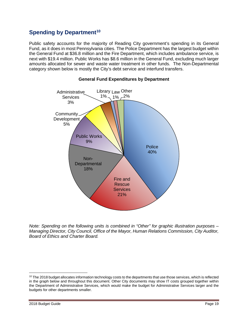## <span id="page-19-0"></span>**Spending by Department[10](#page-19-1)**

Public safety accounts for the majority of Reading City government's spending in its General Fund, as it does in most Pennsylvania cities. The Police Department has the largest budget within the General Fund at \$36.8 million and the Fire Department, which includes ambulance service, is next with \$19.4 million. Public Works has \$8.6 million in the General Fund, excluding much larger amounts allocated for sewer and waste water treatment in other funds. The Non-Departmental category shown below is mostly the City's debt service and interfund transfers.



### **General Fund Expenditures by Department**

*Note: Spending on the following units is combined in "Other" for graphic illustration purposes – Managing Director, City Council, Office of the Mayor, Human Relations Commission, City Auditor, Board of Ethics and Charter Board.*

l

<span id="page-19-1"></span> $10$  The 2018 budget allocates information technology costs to the departments that use those services, which is reflected in the graph below and throughout this document. Other City documents may show IT costs grouped together within the Department of Administrative Services, which would make the budget for Administrative Services larger and the budgets for other departments smaller.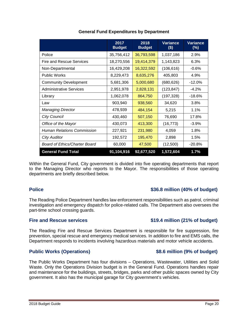| The Public Works Department has four divisions – Operations, Wastewater, Utilities and Solid     |
|--------------------------------------------------------------------------------------------------|
| Waste. Only the Operations Division budget is in the General Fund. Operations handles repair     |
| and maintenance for the buildings, streets, bridges, parks and other public spaces owned by City |
| government. It also has the municipal garage for City government's vehicles.                     |

## Fire and Rescue services **\$19.4 million (21% of budget)**

Within the General Fund, City government is divided into five operating departments that report to the Managing Director who reports to the Mayor. The responsibilities of those operating departments are briefly described below.

### **Police \$36.8 million (40% of budget)**

The Reading Police Department handles law enforcement responsibilities such as patrol, criminal investigation and emergency dispatch for police-related calls. The Department also oversees the part-time school crossing guards.

The Reading Fire and Rescue Services Department is responsible for fire suppression, fire prevention, special rescue and emergency medical services. In addition to fire and EMS calls, the Department responds to incidents involving hazardous materials and motor vehicle accidents.

**Public Works (Operations) \$8.6 million (9% of budget)**

## **General Fund Expenditures by Department**

**2017** 

**2018** 

**Variance**

**Variance**

<span id="page-20-0"></span>

|                                   | <b>Budget</b> | <b>Budget</b> | $($)$      | (%)      |
|-----------------------------------|---------------|---------------|------------|----------|
| Police                            | 35,756,412    | 36,793,598    | 1,037,186  | 2.9%     |
| <b>Fire and Rescue Services</b>   | 18,270,556    | 19,414,379    | 1,143,823  | 6.3%     |
| Non-Departmental                  | 16,429,208    | 16,322,592    | (106, 616) | $-0.6%$  |
| <b>Public Works</b>               | 8,229,473     | 8,635,276     | 405,803    | 4.9%     |
| <b>Community Development</b>      | 5,681,306     | 5,000,680     | (680,626)  | $-12.0%$ |
| <b>Administrative Services</b>    | 2,951,978     | 2,828,131     | (123, 847) | -4.2%    |
| Library                           | 1,062,078     | 864,750       | (197, 328) | $-18.6%$ |
| Law                               | 903,940       | 938,560       | 34,620     | 3.8%     |
| <b>Managing Director</b>          | 478,939       | 484,154       | 5,215      | 1.1%     |
| <b>City Council</b>               | 430,460       | 507,150       | 76,690     | 17.8%    |
| Office of the Mayor               | 430,073       | 413,300       | (16, 773)  | $-3.9\%$ |
| <b>Human Relations Commission</b> | 227,921       | 231,980       | 4,059      | 1.8%     |
| <b>City Auditor</b>               | 192,572       | 195,470       | 2,898      | 1.5%     |
| Board of Ethics/Charter Board     | 60,000        | 47,500        | (12,500)   | -20.8%   |
| <b>General Fund Total</b>         | 91,104,916    | 92,677,520    | 1,572,604  | $1.7\%$  |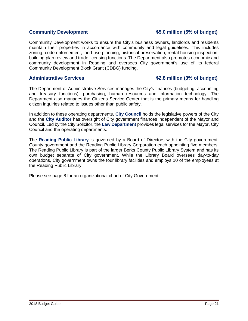### **Community Development \$5.0 million (5% of budget)**

Community Development works to ensure the City's business owners, landlords and residents maintain their properties in accordance with community and legal guidelines. This includes zoning, code enforcement, land use planning, historical preservation, rental housing inspection, building plan review and trade licensing functions. The Department also promotes economic and community development in Reading and oversees City government's use of its federal Community Development Block Grant (CDBG) funding.

### **Administrative Services \$2.8 million (3% of budget)**

The Department of Administrative Services manages the City's finances (budgeting, accounting and treasury functions), purchasing, human resources and information technology. The Department also manages the Citizens Service Center that is the primary means for handling citizen inquiries related to issues other than public safety.

In addition to these operating departments, **City Council** holds the legislative powers of the City and the **City Auditor** has oversight of City government finances independent of the Mayor and Council. Led by the City Solicitor, the **Law Department** provides legal services for the Mayor, City Council and the operating departments.

The **Reading Public Library** is governed by a Board of Directors with the City government, County government and the Reading Public Library Corporation each appointing five members. The Reading Public Library is part of the larger Berks County Public Library System and has its own budget separate of City government. While the Library Board oversees day-to-day operations, City government owns the four library facilities and employs 10 of the employees at the Reading Public Library.

Please see page 8 for an organizational chart of City Government.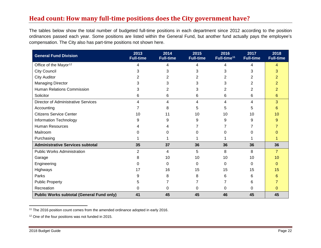## <span id="page-22-2"></span><span id="page-22-1"></span>**Head count: How many full-time positions does the City government have?**

The tables below show the total number of budgeted full-time positions in each department since 2012 according to the position ordinances passed each year. Some positions are listed within the General Fund, but another fund actually pays the employee's compensation. The City also has part-time positions not shown here.

<span id="page-22-0"></span>

| <b>General Fund Division</b>                     | 2013<br><b>Full-time</b> | 2014<br><b>Full-time</b> | 2015<br><b>Full-time</b> | 2016<br>Full-time <sup>11</sup> | 2017<br><b>Full-time</b> | 2018<br><b>Full-time</b> |
|--------------------------------------------------|--------------------------|--------------------------|--------------------------|---------------------------------|--------------------------|--------------------------|
| Office of the Mayor <sup>12</sup>                | 4                        | 4                        | 4                        | 4                               | 4                        | 4                        |
| <b>City Council</b>                              | 3                        | 3                        | 3                        | 3                               | 3                        | 3                        |
| <b>City Auditor</b>                              | 2                        |                          | 2                        | 2                               | 2                        |                          |
| <b>Managing Director</b>                         | 3                        | 3                        | 3                        | 3                               | 2                        |                          |
| <b>Human Relations Commission</b>                | 3                        | 2                        | 3                        | 2                               | 2                        | 2                        |
| Solicitor                                        | 6                        | 6                        | 6                        | 6                               | 6                        | 6                        |
| <b>Director of Administrative Services</b>       | 4                        | 4                        | 4                        | 4                               | 4                        | 3                        |
| Accounting                                       |                          | 8                        | 5                        | 5                               | 5                        | 6                        |
| <b>Citizens Service Center</b>                   | 10                       | 11                       | 10                       | 10                              | 10                       | 10                       |
| Information Technology                           | 9                        | 9                        | 9                        | 9                               | 9                        | 9                        |
| <b>Human Resources</b>                           |                          |                          |                          |                                 |                          |                          |
| Mailroom                                         |                          | O                        | O                        |                                 | 0                        |                          |
| Purchasing                                       |                          |                          |                          |                                 |                          |                          |
| <b>Administrative Services subtotal</b>          | 35                       | 37                       | 36                       | 36                              | 36                       | 36                       |
| <b>Public Works Administration</b>               | $\overline{2}$           | 4                        | 5                        | 8                               | 8                        | 7                        |
| Garage                                           | 8                        | 10                       | 10                       | 10                              | 10                       | 10                       |
| Engineering                                      | 0                        | 0                        | 0                        | 0                               | 0                        | $\Omega$                 |
| Highways                                         | 17                       | 16                       | 15                       | 15                              | 15                       | 15                       |
| Parks                                            | 9                        | 8                        | 8                        | 6                               | 6                        |                          |
| <b>Public Property</b>                           | 5                        |                          |                          |                                 | 6                        |                          |
| Recreation                                       | 0                        | 0                        | 0                        | 0                               | 0                        | $\Omega$                 |
| <b>Public Works subtotal (General Fund only)</b> | 41                       | 45                       | 45                       | 46                              | 45                       | 45                       |

<sup>11</sup> The 2016 position count comes from the amended ordinance adopted in early 2016.

<sup>12</sup> One of the four positions was not funded in 2015.

 $\overline{\phantom{a}}$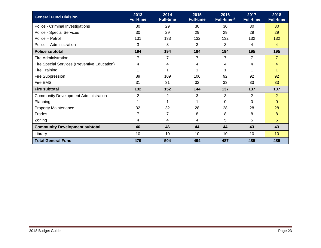| <b>General Fund Division</b>                 | 2013<br><b>Full-time</b> | 2014<br><b>Full-time</b> | 2015<br><b>Full-time</b> | 2016<br>Full-time <sup>11</sup> | 2017<br><b>Full-time</b> | 2018<br><b>Full-time</b> |
|----------------------------------------------|--------------------------|--------------------------|--------------------------|---------------------------------|--------------------------|--------------------------|
| Police - Criminal Investigations             | 30                       | 29                       | 30                       | 30                              | 30                       | 30                       |
| Police - Special Services                    | 30                       | 29                       | 29                       | 29                              | 29                       | 29                       |
| Police - Patrol                              | 131                      | 133                      | 132                      | 132                             | 132                      | 132                      |
| Police - Administration                      | 3                        | 3                        | 3                        | 3                               | 4                        | 4                        |
| <b>Police subtotal</b>                       | 194                      | 194                      | 194                      | 194                             | 195                      | 195                      |
| <b>Fire Administration</b>                   | 7                        | 7                        | $\overline{7}$           | $\overline{7}$                  | $\overline{7}$           | $\overline{7}$           |
| Fire Special Services (Preventive Education) | 4                        | 4                        | 4                        | 4                               | 4                        | 4                        |
| Fire Training                                |                          |                          |                          |                                 |                          |                          |
| Fire Suppression                             | 89                       | 109                      | 100                      | 92                              | 92                       | 92                       |
| Fire EMS                                     | 31                       | 31                       | 32                       | 33                              | 33                       | 33                       |
| <b>Fire subtotal</b>                         | 132                      | 152                      | 144                      | 137                             | 137                      | 137                      |
| <b>Community Development Administration</b>  | $\overline{2}$           | $\overline{2}$           | 3                        | 3                               | 2                        | $\overline{2}$           |
| Planning                                     |                          |                          |                          | 0                               | 0                        | $\mathbf{0}$             |
| <b>Property Maintenance</b>                  | 32                       | 32                       | 28                       | 28                              | 28                       | 28                       |
| Trades                                       |                          | 7                        | 8                        | 8                               | 8                        | 8                        |
| Zoning                                       | 4                        | 4                        | 4                        | $\sqrt{5}$                      | 5                        | 5                        |
| <b>Community Development subtotal</b>        | 46                       | 46                       | 44                       | 44                              | 43                       | 43                       |
| Library                                      | 10                       | 10                       | 10                       | 10                              | 10                       | 10                       |
| <b>Total General Fund</b>                    | 479                      | 504                      | 494                      | 487                             | 485                      | 485                      |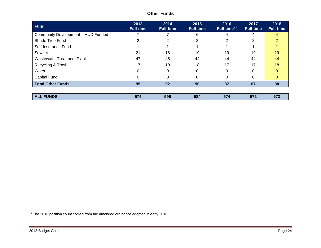| <b>Fund</b>                        | 2013<br><b>Full-time</b> | 2014<br><b>Full-time</b> | 2015<br><b>Full-time</b> | 2016<br>Full-time <sup>13</sup> | 2017<br><b>Full-time</b> | 2018<br><b>Full-time</b> |
|------------------------------------|--------------------------|--------------------------|--------------------------|---------------------------------|--------------------------|--------------------------|
| Community Development - HUD Funded |                          |                          | 6                        | 4                               | 4                        | Δ                        |
| Shade Tree Fund                    |                          | 2                        |                          | 2                               | 2                        |                          |
| Self-Insurance Fund                |                          |                          |                          |                                 |                          |                          |
| Sewers                             | 21                       | 18                       | 19                       | 19                              | 19                       | 19                       |
| <b>Wastewater Treatment Plant</b>  | 47                       | 45                       | 44                       | 44                              | 44                       | 44                       |
| Recycling & Trash                  | 17                       | 19                       | 18                       | 17                              | 17                       | 18                       |
| Water                              |                          | 0                        | 0                        | 0                               | 0                        | 0                        |
| Capital Fund                       |                          |                          |                          | 0                               |                          | 0                        |
| <b>Total Other Funds</b>           | 95                       | 92                       | 90                       | 87                              | 87                       | 88                       |
|                                    |                          |                          |                          |                                 |                          |                          |
| <b>ALL FUNDS</b>                   | 574                      | 596                      | 584                      | 574                             | 572                      | 573                      |

### <span id="page-24-0"></span>**Other Funds**

l  $13$  The 2016 position count comes from the amended ordinance adopted in early 2016.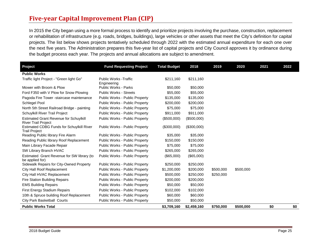## **Five-year Capital Improvement Plan (CIP)**

In 2015 the City began using a more formal process to identify and prioritize projects involving the purchase, construction, replacement or rehabilitation of infrastructure (e.g. roads, bridges, buildings), large vehicles or other assets that meet the City's definition for capital projects. The list below shows projects tentatively scheduled through 2022 with the estimated annual expenditure for each one over the next five years. The Administration prepares this five-year list of capital projects and City Council approves it by ordinance during the budget process each year. The projects and annual allocations are subject to amendment.

<span id="page-25-0"></span>

| Project                                                                     | <b>Fund Requesting Project</b>               | <b>Total Budget</b> | 2018        | 2019      | 2020      | 2021 | 2022 |
|-----------------------------------------------------------------------------|----------------------------------------------|---------------------|-------------|-----------|-----------|------|------|
| <b>Public Works</b>                                                         |                                              |                     |             |           |           |      |      |
| Traffic light Project - "Green light Go"                                    | <b>Public Works - Traffic</b><br>Engineering | \$211,160           | \$211,160   |           |           |      |      |
| Mower with Broom & Plow                                                     | <b>Public Works - Parks</b>                  | \$50,000            | \$50,000    |           |           |      |      |
| Ford F350 with V Plow for Snow Plowing                                      | <b>Public Works - Streets</b>                | \$55,000            | \$55,000    |           |           |      |      |
| Pagoda Fire Tower -staircase maintenance                                    | Public Works - Public Property               | \$135,000           | \$135,000   |           |           |      |      |
| Schlegel Pool                                                               | Public Works - Public Property               | \$200,000           | \$200,000   |           |           |      |      |
| North 5th Street Railroad Bridge - painting                                 | Public Works - Public Property               | \$75,000            | \$75,000    |           |           |      |      |
| Schuylkill River Trail Project                                              | Public Works - Public Property               | \$911,000           | \$911,000   |           |           |      |      |
| <b>Estimated Grant Revenue for Schuylkill</b><br><b>River Trail Project</b> | Public Works - Public Property               | (\$500,000)         | (\$500,000) |           |           |      |      |
| <b>Estimated CDBG Funds for Schuylkill River</b><br><b>Trail Project</b>    | Public Works - Public Property               | (\$300,000)         | (\$300,000) |           |           |      |      |
| Reading Public library Fire Alarm                                           | Public Works - Public Property               | \$35,000            | \$35,000    |           |           |      |      |
| Reading Public library Roof Replacement                                     | Public Works - Public Property               | \$150,000           | \$150,000   |           |           |      |      |
| Main Library Facade Repair                                                  | Public Works - Public Property               | \$75,000            | \$75,000    |           |           |      |      |
| SW Library Branch HVAC                                                      | Public Works - Public Property               | \$265,000           | \$265,000   |           |           |      |      |
| Estimated Grant Revenue for SW library (to<br>be applied for)               | Public Works - Public Property               | (\$65,000)          | (\$65,000)  |           |           |      |      |
| Sidewalk Repairs for City-Owned Property                                    | Public Works - Public Property               | \$250,000           | \$250,000   |           |           |      |      |
| City Hall Roof Replacement                                                  | Public Works - Public Property               | \$1,200,000         | \$200,000   | \$500,000 | \$500,000 |      |      |
| City Hall HVAC Replacement                                                  | Public Works - Public Property               | \$500,000           | \$250,000   | \$250,000 |           |      |      |
| <b>Fire Station Building Repairs</b>                                        | Public Works - Public Property               | \$200,000           | \$200,000   |           |           |      |      |
| <b>EMS Building Repairs</b>                                                 | Public Works - Public Property               | \$50,000            | \$50,000    |           |           |      |      |
| <b>First Energy Stadium Repairs</b>                                         | Public Works - Public Property               | \$102,000           | \$102,000   |           |           |      |      |
| 10th & Spruce building Roof Replacement                                     | Public Works - Public Property               | \$60,000            | \$60,000    |           |           |      |      |
| City Park Basketball Courts                                                 | Public Works - Public Property               | \$50,000            | \$50,000    |           |           |      |      |
| <b>Public Works Total</b>                                                   |                                              | \$3,709,160         | \$2,459,160 | \$750,000 | \$500,000 | \$0  | \$0  |